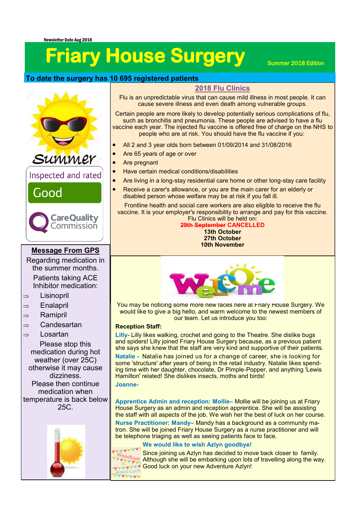# **Friary House Surgery** Summer 2018 Edition

## **To date the surgery has 10 695 registered patients**

#### **2018 Flu Clinics**

Flu is an unpredictable virus that can cause mild illness in most people. It can cause severe illness and even death among vulnerable groups.

Certain people are more likely to develop potentially serious [complications of flu,](https://www.nhs.uk/conditions/flu/)  such as [bronchitis](https://www.nhs.uk/conditions/bronchitis/) and [pneumonia.](https://www.nhs.uk/conditions/pneumonia/) These people are advised to have a flu vaccine each year. The injected flu vaccine is offered free of charge on the NHS to people who are at risk. You should have the flu vaccine if you:

- All 2 and 3 year olds born between 01/09/2014 and 31/08/2016
- Are 65 years of age or over
- Are pregnant
- Have certain medical conditions/disabilities
- Are living in a long-stay residential care home or other long-stay care facility
- Receive a carer's allowance, or you are the main carer for an elderly or disabled person whose welfare may be at risk if you fall ill.

Frontline health and social care workers are also eligible to receive the flu vaccine. It is your employer's responsibility to arrange and pay for this vaccine. Flu Clinics will be held on:

**29th September CANCELLED 13th October 27th October 10th November**



You may be noti[cing some more new faces here at Friary Hous](http://www.google.com/url?sa=i&rct=j&q=&esrc=s&source=images&cd=&cad=rja&uact=8&ved=2ahUKEwiD6P7r9s3cAhUJzoUKHR1CAsYQjRx6BAgBEAU&url=http%3A%2F%2Fwww.notey.com%2Fblogs%2Ffree-welcome-clip-art-graphics&psig=AOvVaw3qHJ1DHmMHVpzaUb3jBjv4&ust=153328416284577)e Surgery. We would like to give a big hello, and warm welcome to the newest members of our team. Let us introduce you too:

#### **Reception Staff:**

**Lilly-** Lilly likes walking, crochet and going to the Theatre. She dislike bugs and spiders! Lilly joined Friary House Surgery because, as a previous patient she says she knew that the staff are very kind and supportive of their patients. **Natalie -** Natalie has joined us for a change of career, she is looking for some 'structure' after years of being in the retail industry. Natalie likes spending time with her daughter, chocolate, Dr Pimple-Popper, and anything 'Lewis Hamilton' related! She dislikes insects, moths and birds! **Joanne-**

**Apprentice Admin and reception: Mollie–** Mollie will be joining us at Friary House Surgery as an admin and reception apprentice. She will be assisting the staff with all aspects of the job. We wish her the best of luck on her course.

**Nurse Practitioner: Mandy–** Mandy has a background as a community matron. She will be joined Friary House Surgery as a nurse practitioner and will be telephone triaging as well as seeing patients face to face.

#### **We would like to wish Azlyn goodbye!**



Since joining us Azlyn has decided to move back closer to family. Although she will be embarking upon lots of travelling along the way. **Good luck on your new Adventure Azlyn!** 



### **Message From GPS**

Regarding medication in the summer months. Patients taking ACE Inhibitor medication:

 $\Rightarrow$  Lisinopril

- $\Rightarrow$  Enalapril
- 
- $\Rightarrow$  Ramipril
- $\Rightarrow$  Candesartan

#### $\Rightarrow$  Losartan

Please stop this medication during hot weather (over 25C) otherwise it may cause dizziness. Please then continue medication when temperature is back below 25C.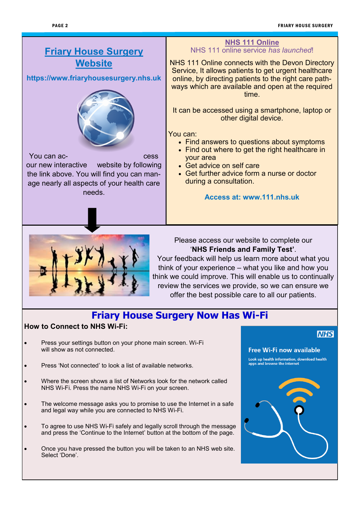# **Friary House Surgery Website**

**https://www.friaryhousesurgery.nhs.uk**



You can ac- cess our new interactive website by following the link above. You will find you can manage nearly all aspects of your health care needs.

#### **NHS 111 Online** NHS 111 online service *has launched*!

NHS 111 Online connects with the Devon Directory Service, It allows patients to get urgent healthcare online, by directing patients to the right care pathways which are available and open at the required time.

It can be accessed using a smartphone, laptop or other digital device.

You can:

- Find answers to questions about symptoms
- Find out where to get the right healthcare in your area
- Get advice on self care
- Get further advice form a nurse or doctor during a consultation.

**Access at: www.111.nhs.uk**



#### Please access our website to complete our '**NHS Friends and Family Test'**.

Your feedback will help us learn more about what you think of your experience – what you like and how you think we could improve. This will enable us to continually review the services we provide, so we can ensure we offer the best possible care to all our patients.

# **Friary House Surgery Now Has Wi-Fi**

#### **How to Connect to NHS Wi-Fi:**

- Press your settings button on your phone main screen. Wi-Fi will show as not connected.
- Press 'Not connected' to look a list of available networks.
- Where the screen shows a list of Networks look for the network called NHS Wi-Fi. Press the name NHS Wi-Fi on your screen.
- The welcome message asks you to promise to use the Internet in a safe and legal way while you are connected to NHS Wi-Fi.
- To agree to use NHS Wi-Fi safely and legally scroll through the message and press the 'Continue to the Internet' button at the bottom of the page.
- Once you have pressed the button you will be taken to an NHS web site. Select 'Done'.

#### **NHS**

#### Free Wi-Fi now available

Look up health information, download health<br>apps and browse the internet

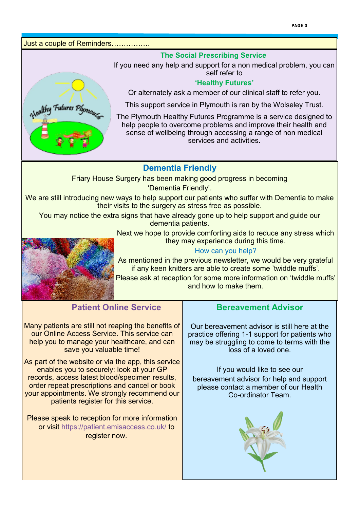Just a couple of Reminders…………….

Healthy Futures Plyme

#### **The Social Prescribing Service**

If you need any help and support for a non medical problem, you can self refer to

#### **'Healthy Futures'**

Or alternately ask a member of our clinical staff to refer you.

This support service in Plymouth is ran by the Wolseley Trust.

The Plymouth Healthy Futures Programme is a service designed to help people to overcome problems and improve their health and sense of wellbeing through accessing a range of non medical services and activities.

# **Dementia Friendly**

Friary House Surgery has been making good progress in becoming

'Dementia Friendly'.

We are still introducing new ways to help support our patients who suffer with Dementia to make their visits to the surgery as stress free as possible.

You may notice the extra signs that have already gone up to help support and guide our dementia patients.

> Next we hope to provide comforting aids to reduce any stress which they may experience during this time.



#### How can you help?

As mentioned in the previous newsletter, we would be very grateful if any keen knitters are able to create some 'twiddle muffs'.

Please ask at reception for some more information on 'twiddle muffs' and how to make them.

# **Patient Online Service**

Many patients are still not reaping the benefits of our Online Access Service. This service can help you to manage your healthcare, and can save you valuable time!

As part of the website or via the app, this service enables you to securely: look at your GP records, access latest blood/specimen results, order repeat prescriptions and cancel or book your appointments. We strongly recommend our patients register for this service.

Please speak to reception for more information or visit https://patient.emisaccess.co.uk/ to register now.

# **Bereavement Advisor**

Our bereavement advisor is still here at the practice offering 1-1 support for patients who may be struggling to come to terms with the loss of a loved one.

If you would like to see our bereavement advisor for help and support please contact a member of our Health Co-ordinator Team.